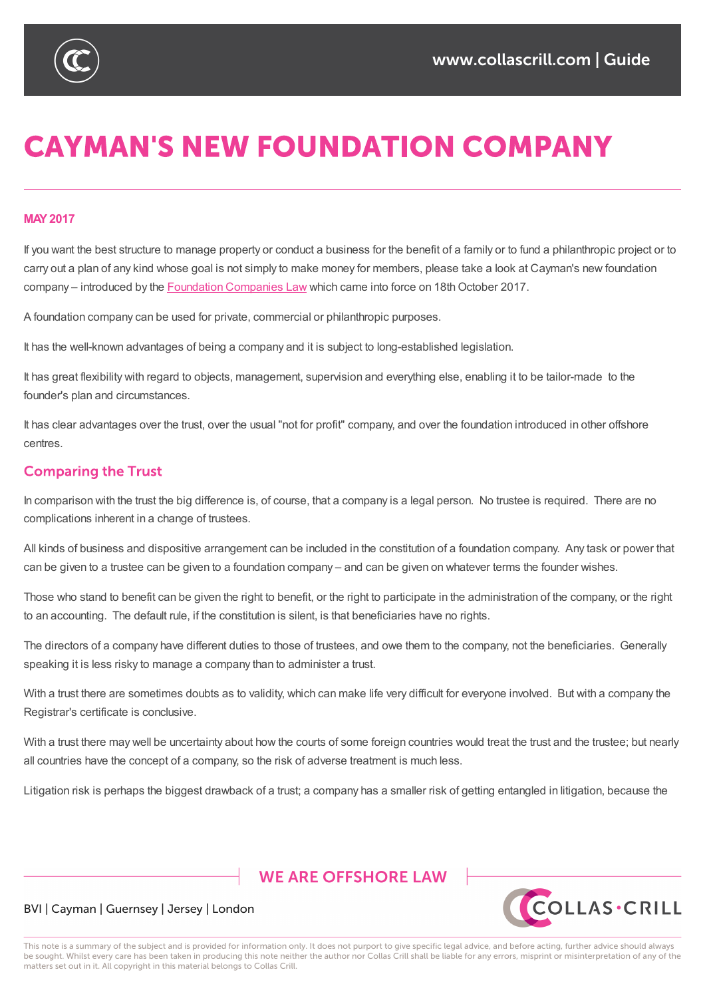

# **CAYMAN'S NEW FOUNDATION COMPANY**

#### **MAY2017**

If you want the best structure to manage property or conduct a business for the benefit of a family or to fund a philanthropic project or to carry out a plan of any kind whose goal is not simply to make money for members, please take a look at Cayman's new foundation company – introduced by the Foundation Companies Law which came into force on 18th October 2017.

A foundation company can be used for private, commercial or philanthropic purposes.

It has the well-known advantages of being a [company](https://www.collascrill.com/media/1729/foundations-companies-law-2017-gazetted.pdf) and it is subject to long-established legislation.

It has great flexibility with regard to objects, management, supervision and everything else, enabling it to be tailor-made to the founder's plan and circumstances.

It has clear advantages over the trust, over the usual "not for profit" company, and over the foundation introduced in other offshore centres.

### **Comparing the Trust**

In comparison with the trust the big difference is, of course, that a company is a legal person. No trustee is required. There are no complications inherent in a change of trustees.

All kinds of business and dispositive arrangement can be included in the constitution of a foundation company. Any task or power that can be given to a trustee can be given to a foundation company – and can be given on whatever terms the founder wishes.

Those who stand to benefit can be given the right to benefit, or the right to participate in the administration of the company, or the right to an accounting. The default rule, if the constitution is silent, is that beneficiaries have no rights.

The directors of a company have different duties to those of trustees, and owe them to the company, not the beneficiaries. Generally speaking it is less risky to manage a company than to administer a trust.

With a trust there are sometimes doubts as to validity, which can make life very difficult for everyone involved. But with a company the Registrar's certificate is conclusive.

With a trust there may well be uncertainty about how the courts of some foreign countries would treat the trust and the trustee; but nearly all countries have the concept of a company, so the risk of adverse treatment is much less.

Litigation risk is perhaps the biggest drawback of a trust; a company has a smaller risk of getting entangled in litigation, because the

## **WE ARE OFFSHORE LAW**



### BVI | Cayman | Guernsey | Jersey | London

This note is a summary of the subject and is provided for information only. It does not purport to give specific legal advice, and before acting, further advice should always be sought. Whilst every care has been taken in producing this note neither the author nor Collas Crill shall be liable for any errors, misprint or misinterpretation of any of the matters set out in it. All copyright in this material belongs to Collas Crill.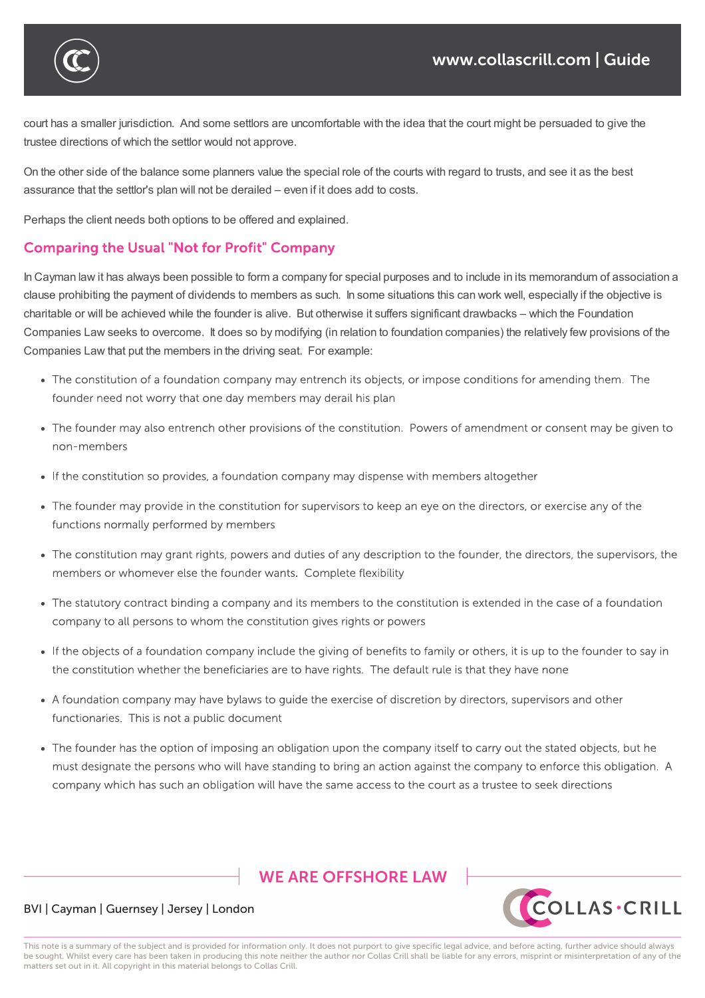

court has a smaller jurisdiction. And some settlors are uncomfortable with the idea that the court might be persuaded to give the trustee directions of which the settlor would not approve.

Litigation risk is perhaps the biggest drawback of a trust; a smaller risk of getting entangled in litigation, because the company has a smaller risk of getting entangled in litigation, because the company of getting  $\alpha$ 

On the other side of the balance some planners value the special role of the courts with regard to trusts, and see it as the best assurance that the settlor's plan will not be derailed – even if it does add to costs.

Perhaps the client needs both options to be offered and explained.

## **Comparing the Usual "Not for Profit" Company**

In Cayman law it has always been possible to form a company for special purposes and to include in its memorandum of association a clause prohibiting the payment of dividends to members as such. In some situations this can work well, especially if the objective is charitable or will be achieved while the founder is alive. But otherwise it suffers significant drawbacks – which the Foundation Companies Law seeks to overcome. It does so by modifying (in relation to foundation companies) the relatively few provisions of the Companies Law that put the members in the driving seat. For example:

- The constitution of a foundation company may entrench its objects, or impose conditions for amending them. The founder need not worry that one day members may derail his plan
- The founder may also entrench other provisions of the constitution. Powers of amendment or consent may be given to non-members
- If the constitution so provides, a foundation company may dispense with members altogether
- The founder may provide in the constitution for supervisors to keep an eye on the directors, or exercise any of the functions normally performed by members
- The constitution may grant rights, powers and duties of any description to the founder, the directors, the supervisors, the members or whomever else the founder wants. Complete flexibility
- The statutory contract binding a company and its members to the constitution is extended in the case of a foundation company to all persons to whom the constitution gives rights or powers
- If the objects of a foundation company include the giving of benefits to family or others, it is up to the founder to say in the constitution whether the beneficiaries are to have rights. The default rule is that they have none
- A foundation company may have bylaws to quide the exercise of discretion by directors, supervisors and other functionaries. This is not a public document
- The founder has the option of imposing an obligation upon the company itself to carry out the stated objects, but he must designate the persons who will have standing to bring an action against the company to enforce this obligation. A company which has such an obligation will have the same access to the court as a trustee to seek directions

## **WE ARE OFFSHORE LAW**



## BVI | Cayman | Guernsey | Jersey | London

This note is a summary of the subject and is provided for information only. It does not purport to give specific legal advice, and before acting, further advice should always be sought. Whilst every care has been taken in producing this note neither the author nor Collas Crill shall be liable for any errors, misprint or misinterpretation of any of the matters set out in it. All copyright in this material belongs to Collas Crill.